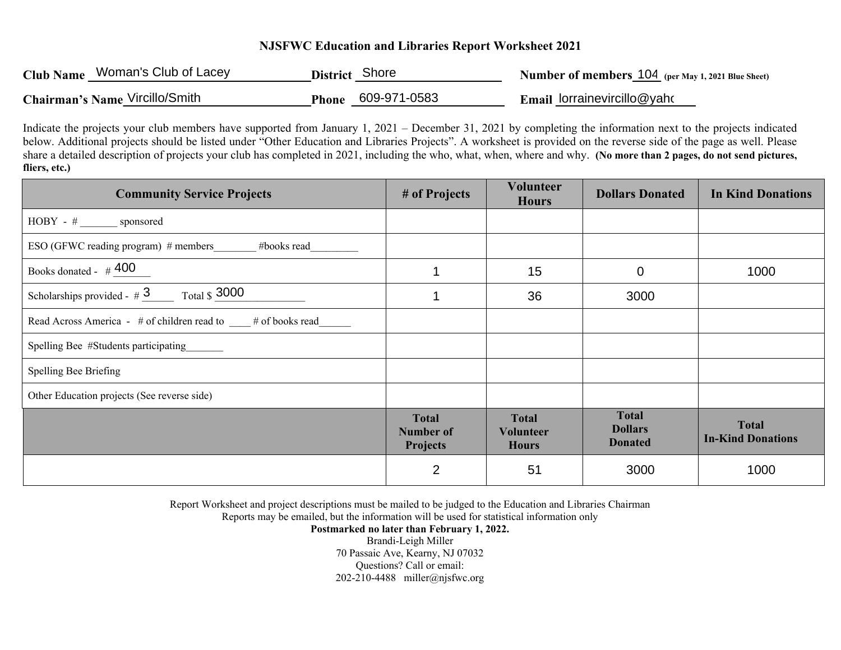## **NJSFWC Education and Libraries Report Worksheet 2021**

| Club Name Woman's Club of Lacey | District Shore |                           | Number of members 104 (per May 1, 2021 Blue Sheet) |
|---------------------------------|----------------|---------------------------|----------------------------------------------------|
| Chairman's Name Vircillo/Smith  |                | <b>Phone 609-971-0583</b> | <b>Email lorrainevircillo@yahomy</b>               |

Indicate the projects your club members have supported from January 1, 2021 – December 31, 2021 by completing the information next to the projects indicated below. Additional projects should be listed under "Other Education and Libraries Projects". A worksheet is provided on the reverse side of the page as well. Please share a detailed description of projects your club has completed in 2021, including the who, what, when, where and why. **(No more than 2 pages, do not send <sup>p</sup>ictures, fliers, etc.)**

| <b>Community Service Projects</b>                               | # of Projects                                       | <b>Volunteer</b><br><b>Hours</b>                 | <b>Dollars Donated</b>                           | <b>In Kind Donations</b>                 |
|-----------------------------------------------------------------|-----------------------------------------------------|--------------------------------------------------|--------------------------------------------------|------------------------------------------|
| HOBY - # _______ sponsored                                      |                                                     |                                                  |                                                  |                                          |
| ESO (GFWC reading program) # members_______ #books read________ |                                                     |                                                  |                                                  |                                          |
| Books donated - $\#$ 400                                        | 1                                                   | 15                                               | $\mathbf 0$                                      | 1000                                     |
| Scholarships provided - $\#3$ Total \$ 3000                     | 1                                                   | 36                                               | 3000                                             |                                          |
| Read Across America - # of children read to # of books read     |                                                     |                                                  |                                                  |                                          |
| Spelling Bee #Students participating                            |                                                     |                                                  |                                                  |                                          |
| Spelling Bee Briefing                                           |                                                     |                                                  |                                                  |                                          |
| Other Education projects (See reverse side)                     |                                                     |                                                  |                                                  |                                          |
|                                                                 | <b>Total</b><br><b>Number of</b><br><b>Projects</b> | <b>Total</b><br><b>Volunteer</b><br><b>Hours</b> | <b>Total</b><br><b>Dollars</b><br><b>Donated</b> | <b>Total</b><br><b>In-Kind Donations</b> |
|                                                                 | $\overline{2}$                                      | 51                                               | 3000                                             | 1000                                     |

Report Worksheet and project descriptions must be mailed to be judged to the Education and Libraries Chairman

Reports may be emailed, but the information will be used for statistical information only

**Postmarked no later than February 1, 2022.** 

Brandi-Leigh Miller 70 Passaic Ave, Kearny, NJ 07032 Questions? Call or email: 202-210-4488 miller@njsfwc.org